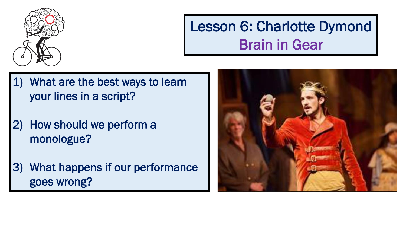

### Lesson 6: Charlotte Dymond Brain in Gear

- 1) What are the best ways to learn your lines in a script?
- 2) How should we perform a monologue?
- 3) What happens if our performance goes wrong?

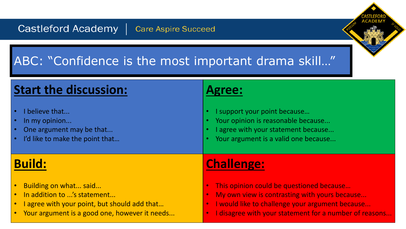### ABC: "Confidence is the most important drama skill…"

#### **Start the discussion:** I believe that... In my opinion... One argument may be that... I'd like to make the point that... **Agree:** • I support your point because… Your opinion is reasonable because... I agree with your statement because... Your argument is a valid one because... **Build:** • Building on what... said... • In addition to ...'s statement... • I agree with your point, but should add that... • Your argument is a good one, however it needs... **Challenge:** This opinion could be questioned because... My own view is contrasting with yours because... • I would like to challenge your argument because... • I disagree with your statement for a number of reasons...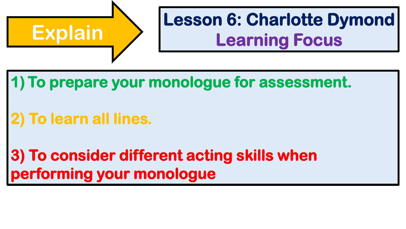

# **Lesson 6: Charlotte Dymond<br>
Learning Focus**

### **1) To prepare your monologue for assessment.**

## **2) To learn all lines.**

### **3) To consider different acting skills when performing your monologue**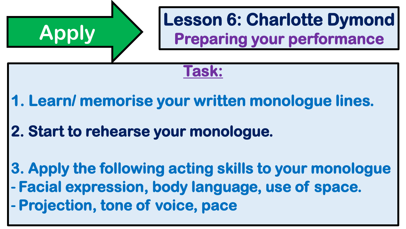

**- Projection, tone of voice, pace**